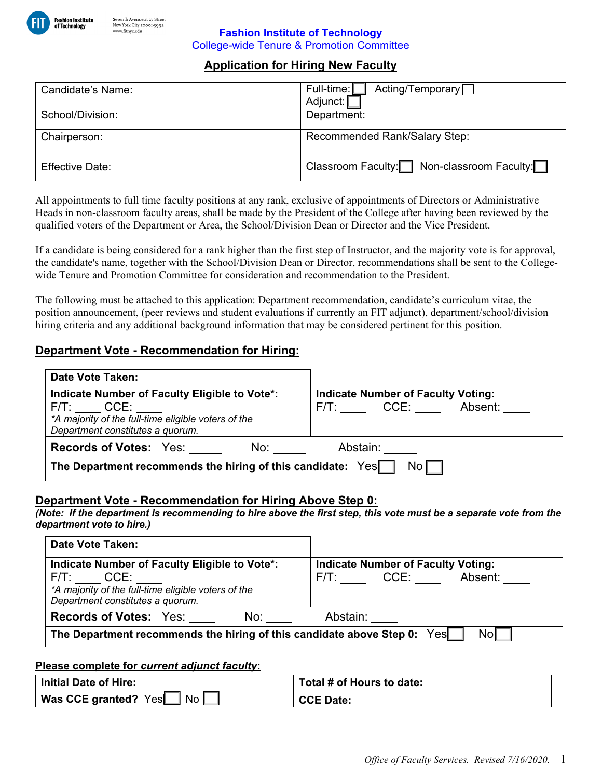

#### **Fashion Institute of Technology**  College-wide Tenure & Promotion Committee

# **Application for Hiring New Faculty**

| Candidate's Name:      | Acting/Temporary <sub>□</sub><br>Full-time:<br>Adjunct: |
|------------------------|---------------------------------------------------------|
| School/Division:       | Department:                                             |
| Chairperson:           | Recommended Rank/Salary Step:                           |
| <b>Effective Date:</b> | Non-classroom Faculty:<br>Classroom Faculty:            |

All appointments to full time faculty positions at any rank, exclusive of appointments of Directors or Administrative Heads in non-classroom faculty areas, shall be made by the President of the College after having been reviewed by the qualified voters of the Department or Area, the School/Division Dean or Director and the Vice President.

If a candidate is being considered for a rank higher than the first step of Instructor, and the majority vote is for approval, the candidate's name, together with the School/Division Dean or Director, recommendations shall be sent to the Collegewide Tenure and Promotion Committee for consideration and recommendation to the President.

The following must be attached to this application: Department recommendation, candidate's curriculum vitae, the position announcement, (peer reviews and student evaluations if currently an FIT adjunct), department/school/division hiring criteria and any additional background information that may be considered pertinent for this position.

## **Department Vote - Recommendation for Hiring:**

| <b>Date Vote Taken:</b>                                                                                                                               |                                                                   |
|-------------------------------------------------------------------------------------------------------------------------------------------------------|-------------------------------------------------------------------|
| Indicate Number of Faculty Eligible to Vote*:<br>F/T: CCE:<br>*A majority of the full-time eligible voters of the<br>Department constitutes a quorum. | <b>Indicate Number of Faculty Voting:</b><br>F/T: CCE:<br>Absent: |
| <b>Records of Votes: Yes:</b><br>No:                                                                                                                  | Abstain:                                                          |
| The Department recommends the hiring of this candidate: Yes<br>$\mathsf{No}\,\Gamma$                                                                  |                                                                   |

## **Department Vote - Recommendation for Hiring Above Step 0:**

*(Note: If the department is recommending to hire above the first step, this vote must be a separate vote from the department vote to hire.)* 

| <b>Date Vote Taken:</b>                                                                                                                               |                                                                |
|-------------------------------------------------------------------------------------------------------------------------------------------------------|----------------------------------------------------------------|
| Indicate Number of Faculty Eligible to Vote*:<br>F/T: CCE:<br>*A majority of the full-time eligible voters of the<br>Department constitutes a quorum. | <b>Indicate Number of Faculty Voting:</b><br>F/T: CCE: Absent: |
| <b>Records of Votes: Yes:</b><br>No:                                                                                                                  | Abstain:                                                       |
| The Department recommends the hiring of this candidate above Step 0: Yes<br>Nol                                                                       |                                                                |

#### **Please complete for** *current adjunct faculty***:**

| Initial Date of Hire:      | Total # of Hours to date: |
|----------------------------|---------------------------|
| No<br>Was CCE granted? Yes | <b>CCE Date:</b>          |